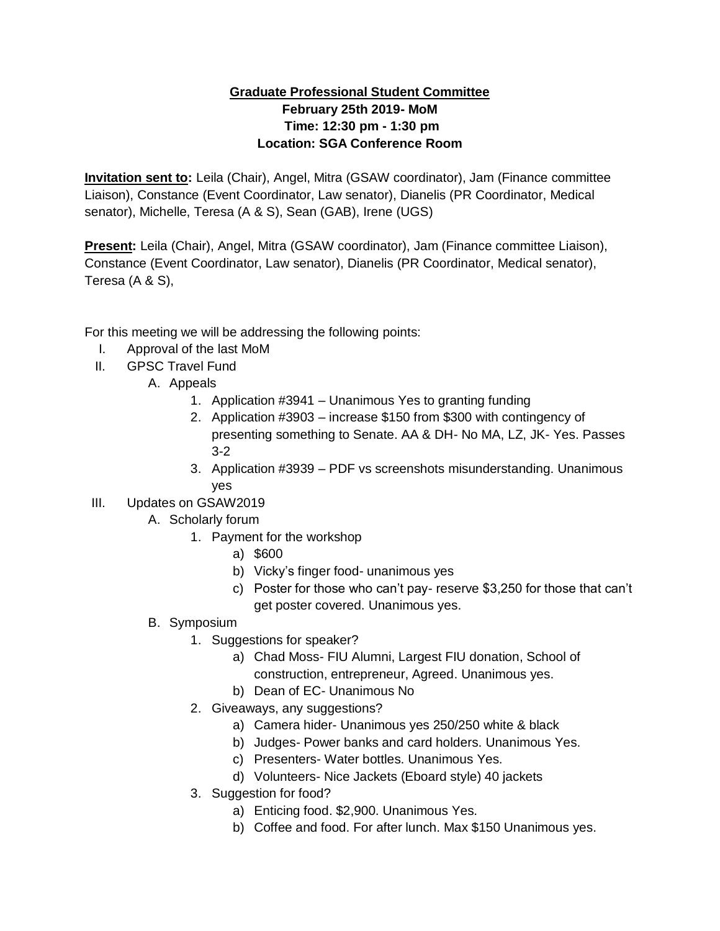## **Graduate Professional Student Committee February 25th 2019- MoM Time: 12:30 pm - 1:30 pm Location: SGA Conference Room**

**Invitation sent to:** Leila (Chair), Angel, Mitra (GSAW coordinator), Jam (Finance committee Liaison), Constance (Event Coordinator, Law senator), Dianelis (PR Coordinator, Medical senator), Michelle, Teresa (A & S), Sean (GAB), Irene (UGS)

**Present:** Leila (Chair), Angel, Mitra (GSAW coordinator), Jam (Finance committee Liaison), Constance (Event Coordinator, Law senator), Dianelis (PR Coordinator, Medical senator), Teresa (A & S),

For this meeting we will be addressing the following points:

- I. Approval of the last MoM
- II. GPSC Travel Fund
	- A. Appeals
		- 1. Application #3941 Unanimous Yes to granting funding
		- 2. Application #3903 increase \$150 from \$300 with contingency of presenting something to Senate. AA & DH- No MA, LZ, JK- Yes. Passes 3-2
		- 3. Application #3939 PDF vs screenshots misunderstanding. Unanimous yes
- III. Updates on GSAW2019
	- A. Scholarly forum
		- 1. Payment for the workshop
			- a) \$600
			- b) Vicky's finger food- unanimous yes
			- c) Poster for those who can't pay- reserve \$3,250 for those that can't get poster covered. Unanimous yes.

## B. Symposium

- 1. Suggestions for speaker?
	- a) Chad Moss- FIU Alumni, Largest FIU donation, School of construction, entrepreneur, Agreed. Unanimous yes.
	- b) Dean of EC- Unanimous No
- 2. Giveaways, any suggestions?
	- a) Camera hider- Unanimous yes 250/250 white & black
	- b) Judges- Power banks and card holders. Unanimous Yes.
	- c) Presenters- Water bottles. Unanimous Yes.
	- d) Volunteers- Nice Jackets (Eboard style) 40 jackets
- 3. Suggestion for food?
	- a) Enticing food. \$2,900. Unanimous Yes.
	- b) Coffee and food. For after lunch. Max \$150 Unanimous yes.